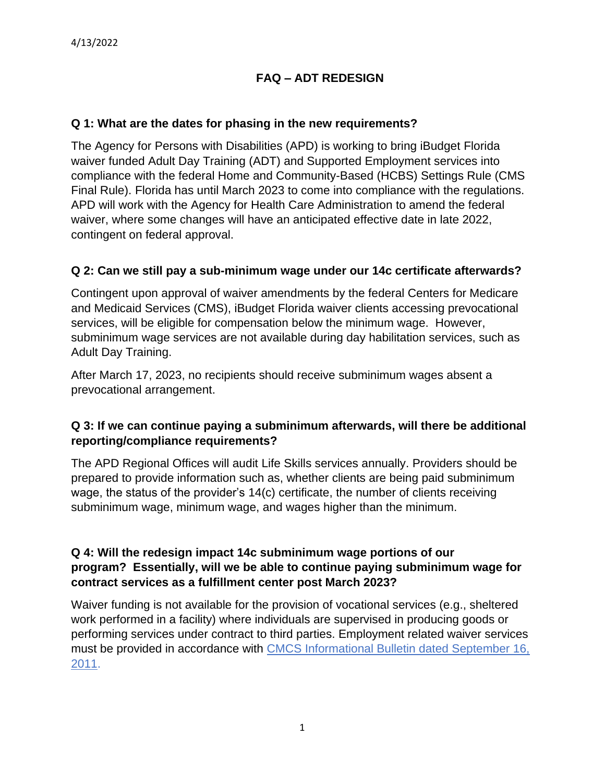# **FAQ – ADT REDESIGN**

#### **Q 1: What are the dates for phasing in the new requirements?**

The Agency for Persons with Disabilities (APD) is working to bring iBudget Florida waiver funded Adult Day Training (ADT) and Supported Employment services into compliance with the federal Home and Community-Based (HCBS) Settings Rule (CMS Final Rule). Florida has until March 2023 to come into compliance with the regulations. APD will work with the Agency for Health Care Administration to amend the federal waiver, where some changes will have an anticipated effective date in late 2022, contingent on federal approval.

#### **Q 2: Can we still pay a sub-minimum wage under our 14c certificate afterwards?**

Contingent upon approval of waiver amendments by the federal Centers for Medicare and Medicaid Services (CMS), iBudget Florida waiver clients accessing prevocational services, will be eligible for compensation below the minimum wage. However, subminimum wage services are not available during day habilitation services, such as Adult Day Training.

After March 17, 2023, no recipients should receive subminimum wages absent a prevocational arrangement.

### **Q 3: If we can continue paying a subminimum afterwards, will there be additional reporting/compliance requirements?**

The APD Regional Offices will audit Life Skills services annually. Providers should be prepared to provide information such as, whether clients are being paid subminimum wage, the status of the provider's 14(c) certificate, the number of clients receiving subminimum wage, minimum wage, and wages higher than the minimum.

#### **Q 4: Will the redesign impact 14c subminimum wage portions of our program? Essentially, will we be able to continue paying subminimum wage for contract services as a fulfillment center post March 2023?**

Waiver funding is not available for the provision of vocational services (e.g., sheltered work performed in a facility) where individuals are supervised in producing goods or performing services under contract to third parties. Employment related waiver services must be provided in accordance with [CMCS Informational Bulletin dated September 16,](https://downloads.cms.gov/cmsgov/archived-downloads/CMCSBulletins/downloads/CIB-9-16-11.pdf)  [2011.](https://downloads.cms.gov/cmsgov/archived-downloads/CMCSBulletins/downloads/CIB-9-16-11.pdf)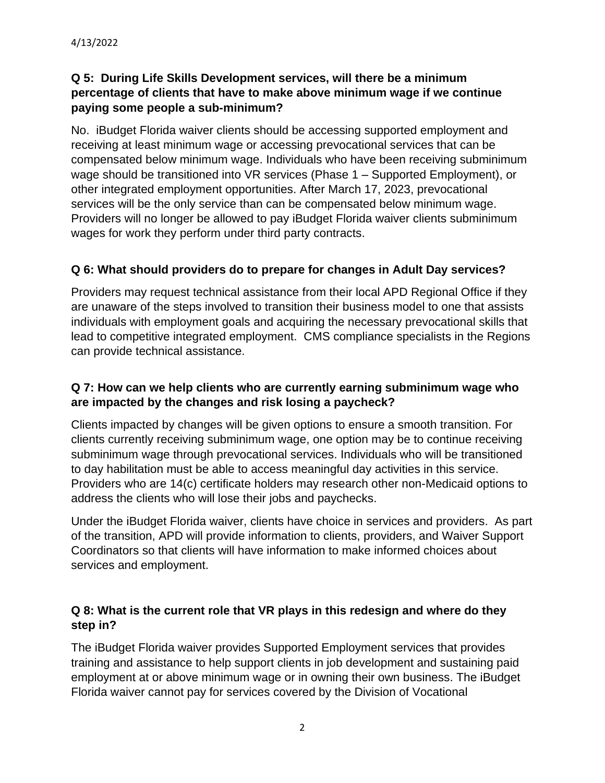# **Q 5: During Life Skills Development services, will there be a minimum percentage of clients that have to make above minimum wage if we continue paying some people a sub-minimum?**

No. iBudget Florida waiver clients should be accessing supported employment and receiving at least minimum wage or accessing prevocational services that can be compensated below minimum wage. Individuals who have been receiving subminimum wage should be transitioned into VR services (Phase 1 – Supported Employment), or other integrated employment opportunities. After March 17, 2023, prevocational services will be the only service than can be compensated below minimum wage. Providers will no longer be allowed to pay iBudget Florida waiver clients subminimum wages for work they perform under third party contracts.

# **Q 6: What should providers do to prepare for changes in Adult Day services?**

Providers may request technical assistance from their local APD Regional Office if they are unaware of the steps involved to transition their business model to one that assists individuals with employment goals and acquiring the necessary prevocational skills that lead to competitive integrated employment. CMS compliance specialists in the Regions can provide technical assistance.

### **Q 7: How can we help clients who are currently earning subminimum wage who are impacted by the changes and risk losing a paycheck?**

Clients impacted by changes will be given options to ensure a smooth transition. For clients currently receiving subminimum wage, one option may be to continue receiving subminimum wage through prevocational services. Individuals who will be transitioned to day habilitation must be able to access meaningful day activities in this service. Providers who are 14(c) certificate holders may research other non-Medicaid options to address the clients who will lose their jobs and paychecks.

Under the iBudget Florida waiver, clients have choice in services and providers. As part of the transition, APD will provide information to clients, providers, and Waiver Support Coordinators so that clients will have information to make informed choices about services and employment.

# **Q 8: What is the current role that VR plays in this redesign and where do they step in?**

The iBudget Florida waiver provides Supported Employment services that provides training and assistance to help support clients in job development and sustaining paid employment at or above minimum wage or in owning their own business. The iBudget Florida waiver cannot pay for services covered by the Division of Vocational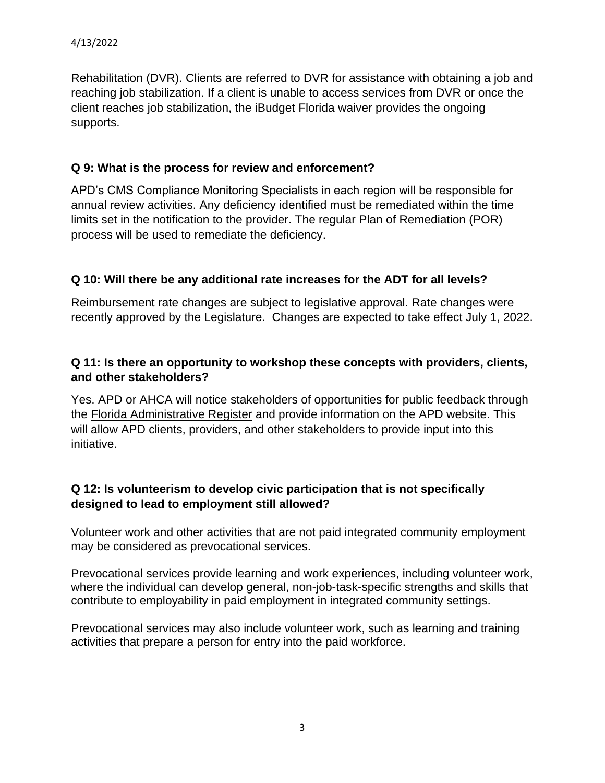Rehabilitation (DVR). Clients are referred to DVR for assistance with obtaining a job and reaching job stabilization. If a client is unable to access services from DVR or once the client reaches job stabilization, the iBudget Florida waiver provides the ongoing supports.

### **Q 9: What is the process for review and enforcement?**

APD's CMS Compliance Monitoring Specialists in each region will be responsible for annual review activities. Any deficiency identified must be remediated within the time limits set in the notification to the provider. The regular Plan of Remediation (POR) process will be used to remediate the deficiency.

### **Q 10: Will there be any additional rate increases for the ADT for all levels?**

Reimbursement rate changes are subject to legislative approval. Rate changes were recently approved by the Legislature. Changes are expected to take effect July 1, 2022.

#### **Q 11: Is there an opportunity to workshop these concepts with providers, clients, and other stakeholders?**

Yes. APD or AHCA will notice stakeholders of opportunities for public feedback through the [Florida Administrative Register](https://www.flrules.org/) and provide information on the APD website. This will allow APD clients, providers, and other stakeholders to provide input into this initiative.

### **Q 12: Is volunteerism to develop civic participation that is not specifically designed to lead to employment still allowed?**

Volunteer work and other activities that are not paid integrated community employment may be considered as prevocational services.

Prevocational services provide learning and work experiences, including volunteer work, where the individual can develop general, non-job-task-specific strengths and skills that contribute to employability in paid employment in integrated community settings.

Prevocational services may also include volunteer work, such as learning and training activities that prepare a person for entry into the paid workforce.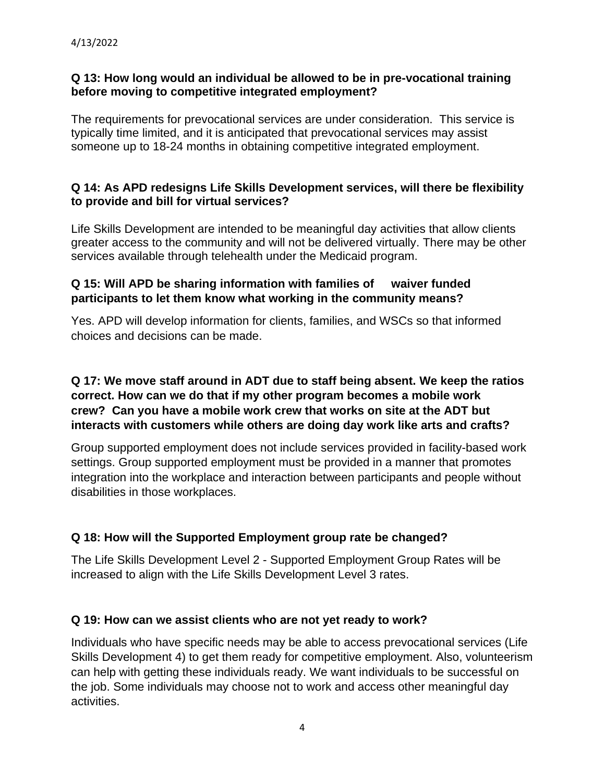#### **Q 13: How long would an individual be allowed to be in pre-vocational training before moving to competitive integrated employment?**

The requirements for prevocational services are under consideration. This service is typically time limited, and it is anticipated that prevocational services may assist someone up to 18-24 months in obtaining competitive integrated employment.

#### **Q 14: As APD redesigns Life Skills Development services, will there be flexibility to provide and bill for virtual services?**

Life Skills Development are intended to be meaningful day activities that allow clients greater access to the community and will not be delivered virtually. There may be other services available through telehealth under the Medicaid program.

#### **Q 15: Will APD be sharing information with families of waiver funded participants to let them know what working in the community means?**

Yes. APD will develop information for clients, families, and WSCs so that informed choices and decisions can be made.

# **Q 17: We move staff around in ADT due to staff being absent. We keep the ratios correct. How can we do that if my other program becomes a mobile work crew? Can you have a mobile work crew that works on site at the ADT but interacts with customers while others are doing day work like arts and crafts?**

Group supported employment does not include services provided in facility-based work settings. Group supported employment must be provided in a manner that promotes integration into the workplace and interaction between participants and people without disabilities in those workplaces.

# **Q 18: How will the Supported Employment group rate be changed?**

The Life Skills Development Level 2 - Supported Employment Group Rates will be increased to align with the Life Skills Development Level 3 rates.

### **Q 19: How can we assist clients who are not yet ready to work?**

Individuals who have specific needs may be able to access prevocational services (Life Skills Development 4) to get them ready for competitive employment. Also, volunteerism can help with getting these individuals ready. We want individuals to be successful on the job. Some individuals may choose not to work and access other meaningful day activities.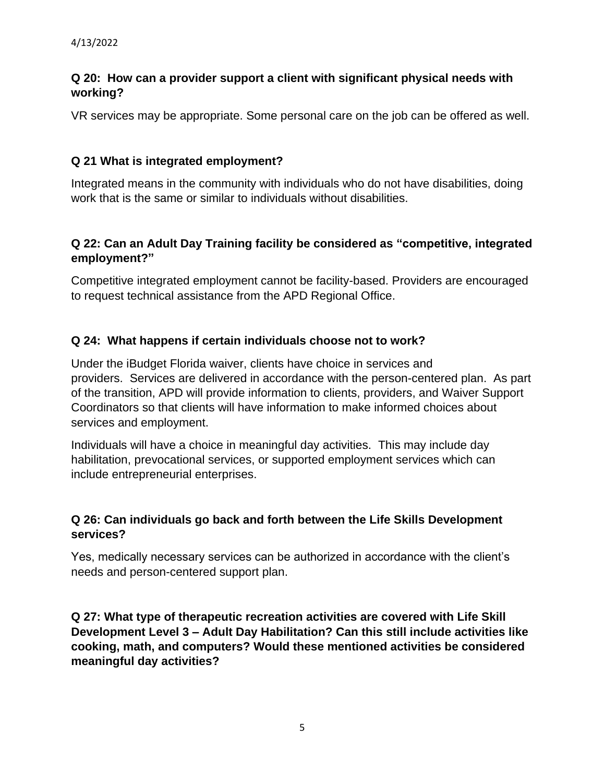# **Q 20: How can a provider support a client with significant physical needs with working?**

VR services may be appropriate. Some personal care on the job can be offered as well.

### **Q 21 What is integrated employment?**

Integrated means in the community with individuals who do not have disabilities, doing work that is the same or similar to individuals without disabilities.

# **Q 22: Can an Adult Day Training facility be considered as "competitive, integrated employment?"**

Competitive integrated employment cannot be facility-based. Providers are encouraged to request technical assistance from the APD Regional Office.

### **Q 24: What happens if certain individuals choose not to work?**

Under the iBudget Florida waiver, clients have choice in services and providers. Services are delivered in accordance with the person-centered plan. As part of the transition, APD will provide information to clients, providers, and Waiver Support Coordinators so that clients will have information to make informed choices about services and employment.

Individuals will have a choice in meaningful day activities. This may include day habilitation, prevocational services, or supported employment services which can include entrepreneurial enterprises.

### **Q 26: Can individuals go back and forth between the Life Skills Development services?**

Yes, medically necessary services can be authorized in accordance with the client's needs and person-centered support plan.

**Q 27: What type of therapeutic recreation activities are covered with Life Skill Development Level 3 – Adult Day Habilitation? Can this still include activities like cooking, math, and computers? Would these mentioned activities be considered meaningful day activities?**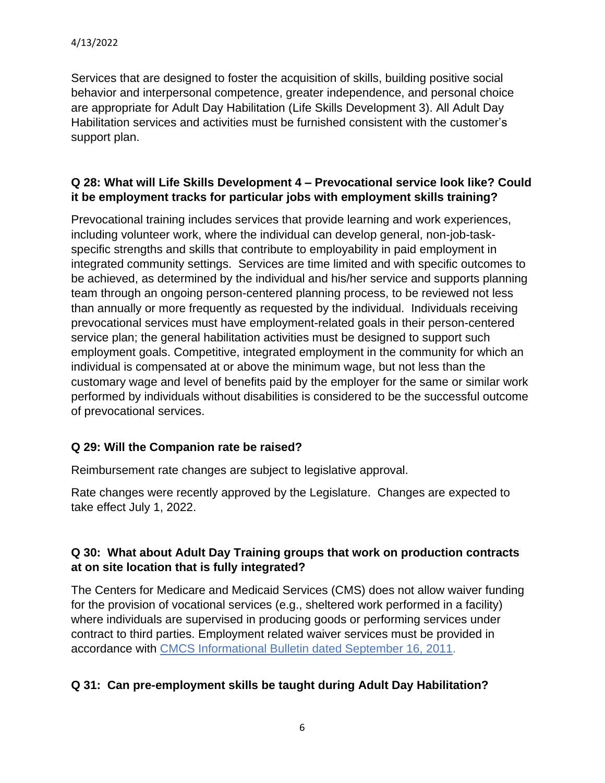Services that are designed to foster the acquisition of skills, building positive social behavior and interpersonal competence, greater independence, and personal choice are appropriate for Adult Day Habilitation (Life Skills Development 3). All Adult Day Habilitation services and activities must be furnished consistent with the customer's support plan.

#### **Q 28: What will Life Skills Development 4 – Prevocational service look like? Could it be employment tracks for particular jobs with employment skills training?**

Prevocational training includes services that provide learning and work experiences, including volunteer work, where the individual can develop general, non-job-taskspecific strengths and skills that contribute to employability in paid employment in integrated community settings. Services are time limited and with specific outcomes to be achieved, as determined by the individual and his/her service and supports planning team through an ongoing person-centered planning process, to be reviewed not less than annually or more frequently as requested by the individual. Individuals receiving prevocational services must have employment-related goals in their person-centered service plan; the general habilitation activities must be designed to support such employment goals. Competitive, integrated employment in the community for which an individual is compensated at or above the minimum wage, but not less than the customary wage and level of benefits paid by the employer for the same or similar work performed by individuals without disabilities is considered to be the successful outcome of prevocational services.

### **Q 29: Will the Companion rate be raised?**

Reimbursement rate changes are subject to legislative approval.

Rate changes were recently approved by the Legislature. Changes are expected to take effect July 1, 2022.

### **Q 30: What about Adult Day Training groups that work on production contracts at on site location that is fully integrated?**

The Centers for Medicare and Medicaid Services (CMS) does not allow waiver funding for the provision of vocational services (e.g., sheltered work performed in a facility) where individuals are supervised in producing goods or performing services under contract to third parties. Employment related waiver services must be provided in accordance with [CMCS Informational Bulletin dated September 16, 2011.](https://downloads.cms.gov/cmsgov/archived-downloads/CMCSBulletins/downloads/CIB-9-16-11.pdf)

### **Q 31: Can pre-employment skills be taught during Adult Day Habilitation?**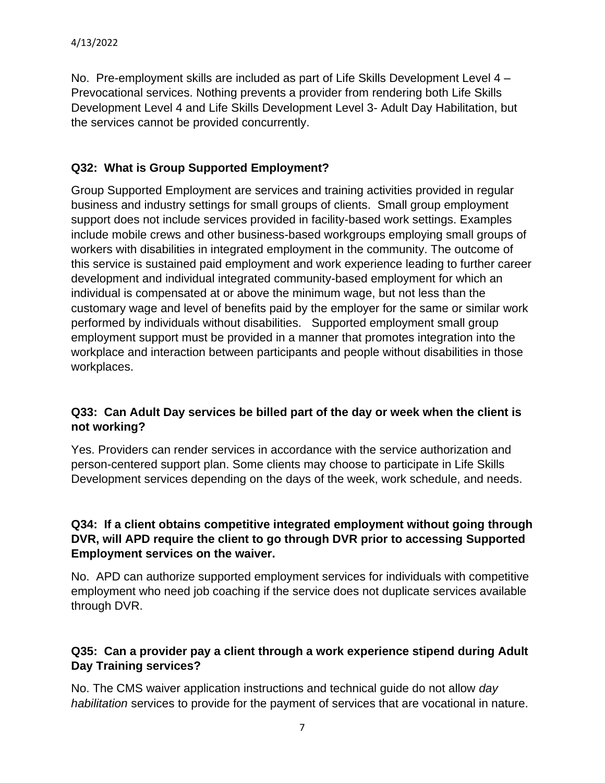No. Pre-employment skills are included as part of Life Skills Development Level 4 – Prevocational services. Nothing prevents a provider from rendering both Life Skills Development Level 4 and Life Skills Development Level 3- Adult Day Habilitation, but the services cannot be provided concurrently.

# **Q32: What is Group Supported Employment?**

Group Supported Employment are services and training activities provided in regular business and industry settings for small groups of clients. Small group employment support does not include services provided in facility-based work settings. Examples include mobile crews and other business-based workgroups employing small groups of workers with disabilities in integrated employment in the community. The outcome of this service is sustained paid employment and work experience leading to further career development and individual integrated community-based employment for which an individual is compensated at or above the minimum wage, but not less than the customary wage and level of benefits paid by the employer for the same or similar work performed by individuals without disabilities. Supported employment small group employment support must be provided in a manner that promotes integration into the workplace and interaction between participants and people without disabilities in those workplaces.

# **Q33: Can Adult Day services be billed part of the day or week when the client is not working?**

Yes. Providers can render services in accordance with the service authorization and person-centered support plan. Some clients may choose to participate in Life Skills Development services depending on the days of the week, work schedule, and needs.

### **Q34: If a client obtains competitive integrated employment without going through DVR, will APD require the client to go through DVR prior to accessing Supported Employment services on the waiver.**

No. APD can authorize supported employment services for individuals with competitive employment who need job coaching if the service does not duplicate services available through DVR.

### **Q35: Can a provider pay a client through a work experience stipend during Adult Day Training services?**

No. The CMS waiver application instructions and technical guide do not allow *day habilitation* services to provide for the payment of services that are vocational in nature.